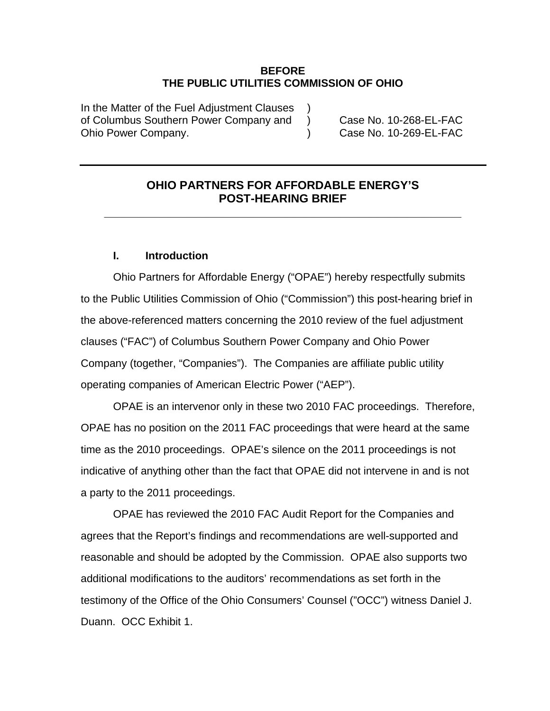#### **BEFORE THE PUBLIC UTILITIES COMMISSION OF OHIO**

In the Matter of the Fuel Adjustment Clauses of Columbus Southern Power Company and ) Case No. 10-268-EL-FAC Ohio Power Company. (a) Case No. 10-269-EL-FAC

## **OHIO PARTNERS FOR AFFORDABLE ENERGY'S POST-HEARING BRIEF**

**\_\_\_\_\_\_\_\_\_\_\_\_\_\_\_\_\_\_\_\_\_\_\_\_\_\_\_\_\_\_\_\_\_\_\_\_\_\_\_\_\_\_\_\_\_\_\_\_\_\_\_\_\_\_\_** 

### **I. Introduction**

Ohio Partners for Affordable Energy ("OPAE") hereby respectfully submits to the Public Utilities Commission of Ohio ("Commission") this post-hearing brief in the above-referenced matters concerning the 2010 review of the fuel adjustment clauses ("FAC") of Columbus Southern Power Company and Ohio Power Company (together, "Companies"). The Companies are affiliate public utility operating companies of American Electric Power ("AEP").

OPAE is an intervenor only in these two 2010 FAC proceedings. Therefore, OPAE has no position on the 2011 FAC proceedings that were heard at the same time as the 2010 proceedings. OPAE's silence on the 2011 proceedings is not indicative of anything other than the fact that OPAE did not intervene in and is not a party to the 2011 proceedings.

OPAE has reviewed the 2010 FAC Audit Report for the Companies and agrees that the Report's findings and recommendations are well-supported and reasonable and should be adopted by the Commission. OPAE also supports two additional modifications to the auditors' recommendations as set forth in the testimony of the Office of the Ohio Consumers' Counsel ("OCC") witness Daniel J. Duann. OCC Exhibit 1.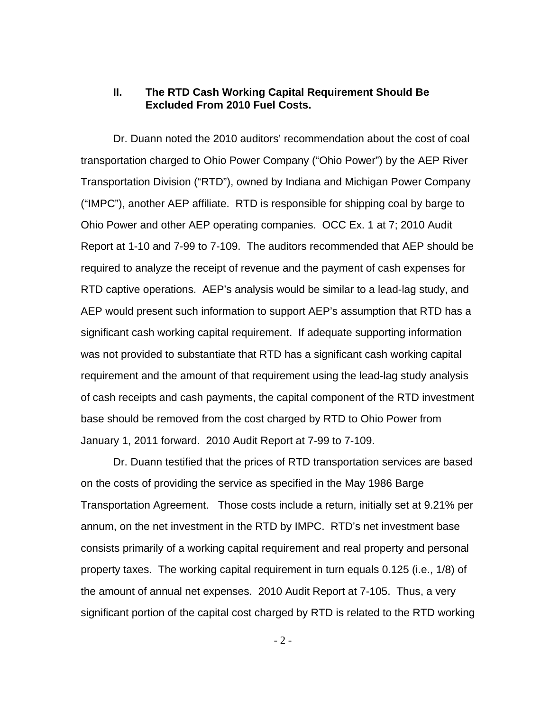#### **II. The RTD Cash Working Capital Requirement Should Be Excluded From 2010 Fuel Costs.**

Dr. Duann noted the 2010 auditors' recommendation about the cost of coal transportation charged to Ohio Power Company ("Ohio Power") by the AEP River Transportation Division ("RTD"), owned by Indiana and Michigan Power Company ("IMPC"), another AEP affiliate. RTD is responsible for shipping coal by barge to Ohio Power and other AEP operating companies. OCC Ex. 1 at 7; 2010 Audit Report at 1-10 and 7-99 to 7-109. The auditors recommended that AEP should be required to analyze the receipt of revenue and the payment of cash expenses for RTD captive operations. AEP's analysis would be similar to a lead-lag study, and AEP would present such information to support AEP's assumption that RTD has a significant cash working capital requirement. If adequate supporting information was not provided to substantiate that RTD has a significant cash working capital requirement and the amount of that requirement using the lead-lag study analysis of cash receipts and cash payments, the capital component of the RTD investment base should be removed from the cost charged by RTD to Ohio Power from January 1, 2011 forward. 2010 Audit Report at 7-99 to 7-109.

Dr. Duann testified that the prices of RTD transportation services are based on the costs of providing the service as specified in the May 1986 Barge Transportation Agreement. Those costs include a return, initially set at 9.21% per annum, on the net investment in the RTD by IMPC. RTD's net investment base consists primarily of a working capital requirement and real property and personal property taxes. The working capital requirement in turn equals 0.125 (i.e., 1/8) of the amount of annual net expenses. 2010 Audit Report at 7-105. Thus, a very significant portion of the capital cost charged by RTD is related to the RTD working

 $-2 -$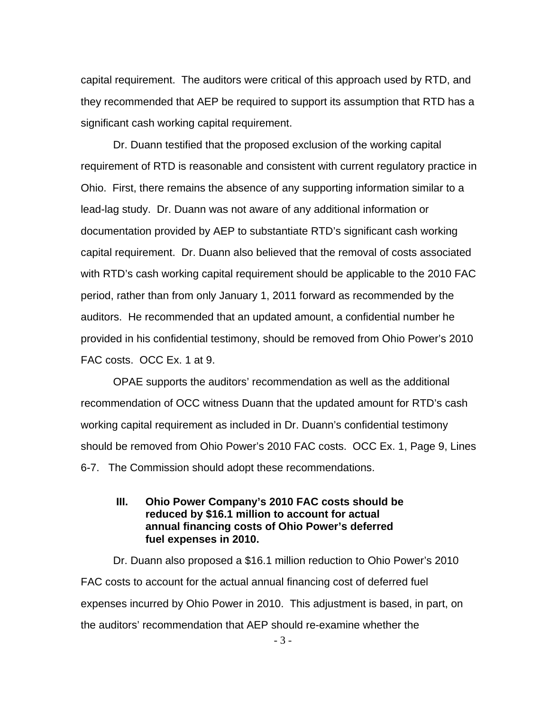capital requirement. The auditors were critical of this approach used by RTD, and they recommended that AEP be required to support its assumption that RTD has a significant cash working capital requirement.

Dr. Duann testified that the proposed exclusion of the working capital requirement of RTD is reasonable and consistent with current regulatory practice in Ohio. First, there remains the absence of any supporting information similar to a lead-lag study. Dr. Duann was not aware of any additional information or documentation provided by AEP to substantiate RTD's significant cash working capital requirement. Dr. Duann also believed that the removal of costs associated with RTD's cash working capital requirement should be applicable to the 2010 FAC period, rather than from only January 1, 2011 forward as recommended by the auditors. He recommended that an updated amount, a confidential number he provided in his confidential testimony, should be removed from Ohio Power's 2010 FAC costs. OCC Ex. 1 at 9.

OPAE supports the auditors' recommendation as well as the additional recommendation of OCC witness Duann that the updated amount for RTD's cash working capital requirement as included in Dr. Duann's confidential testimony should be removed from Ohio Power's 2010 FAC costs. OCC Ex. 1, Page 9, Lines 6-7. The Commission should adopt these recommendations.

### **III. Ohio Power Company's 2010 FAC costs should be reduced by \$16.1 million to account for actual annual financing costs of Ohio Power's deferred fuel expenses in 2010.**

Dr. Duann also proposed a \$16.1 million reduction to Ohio Power's 2010 FAC costs to account for the actual annual financing cost of deferred fuel expenses incurred by Ohio Power in 2010. This adjustment is based, in part, on the auditors' recommendation that AEP should re-examine whether the

- 3 -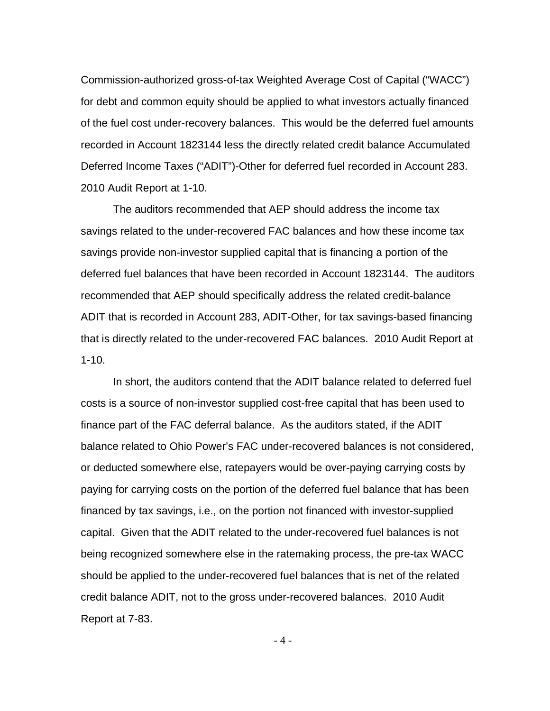Commission-authorized gross-of-tax Weighted Average Cost of Capital ("WACC") for debt and common equity should be applied to what investors actually financed of the fuel cost under-recovery balances. This would be the deferred fuel amounts recorded in Account 1823144 less the directly related credit balance Accumulated Deferred Income Taxes ("ADIT")-Other for deferred fuel recorded in Account 283. 2010 Audit Report at 1-10.

The auditors recommended that AEP should address the income tax savings related to the under-recovered FAC balances and how these income tax savings provide non-investor supplied capital that is financing a portion of the deferred fuel balances that have been recorded in Account 1823144. The auditors recommended that AEP should specifically address the related credit-balance ADIT that is recorded in Account 283, ADIT-Other, for tax savings-based financing that is directly related to the under-recovered FAC balances. 2010 Audit Report at  $1 - 10$ .

In short, the auditors contend that the ADIT balance related to deferred fuel costs is a source of non-investor supplied cost-free capital that has been used to finance part of the FAC deferral balance. As the auditors stated, if the ADIT balance related to Ohio Power's FAC under-recovered balances is not considered, or deducted somewhere else, ratepayers would be over-paying carrying costs by paying for carrying costs on the portion of the deferred fuel balance that has been financed by tax savings, i.e., on the portion not financed with investor-supplied capital. Given that the ADIT related to the under-recovered fuel balances is not being recognized somewhere else in the ratemaking process, the pre-tax WACC should be applied to the under-recovered fuel balances that is net of the related credit balance ADIT, not to the gross under-recovered balances. 2010 Audit Report at 7-83.

 $-4-$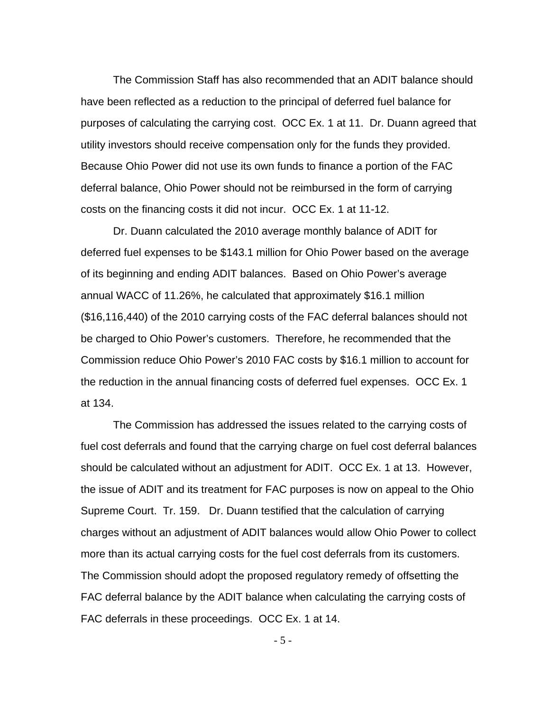The Commission Staff has also recommended that an ADIT balance should have been reflected as a reduction to the principal of deferred fuel balance for purposes of calculating the carrying cost. OCC Ex. 1 at 11. Dr. Duann agreed that utility investors should receive compensation only for the funds they provided. Because Ohio Power did not use its own funds to finance a portion of the FAC deferral balance, Ohio Power should not be reimbursed in the form of carrying costs on the financing costs it did not incur. OCC Ex. 1 at 11-12.

Dr. Duann calculated the 2010 average monthly balance of ADIT for deferred fuel expenses to be \$143.1 million for Ohio Power based on the average of its beginning and ending ADIT balances. Based on Ohio Power's average annual WACC of 11.26%, he calculated that approximately \$16.1 million (\$16,116,440) of the 2010 carrying costs of the FAC deferral balances should not be charged to Ohio Power's customers. Therefore, he recommended that the Commission reduce Ohio Power's 2010 FAC costs by \$16.1 million to account for the reduction in the annual financing costs of deferred fuel expenses. OCC Ex. 1 at 134.

The Commission has addressed the issues related to the carrying costs of fuel cost deferrals and found that the carrying charge on fuel cost deferral balances should be calculated without an adjustment for ADIT. OCC Ex. 1 at 13. However, the issue of ADIT and its treatment for FAC purposes is now on appeal to the Ohio Supreme Court. Tr. 159. Dr. Duann testified that the calculation of carrying charges without an adjustment of ADIT balances would allow Ohio Power to collect more than its actual carrying costs for the fuel cost deferrals from its customers. The Commission should adopt the proposed regulatory remedy of offsetting the FAC deferral balance by the ADIT balance when calculating the carrying costs of FAC deferrals in these proceedings. OCC Ex. 1 at 14.

- 5 -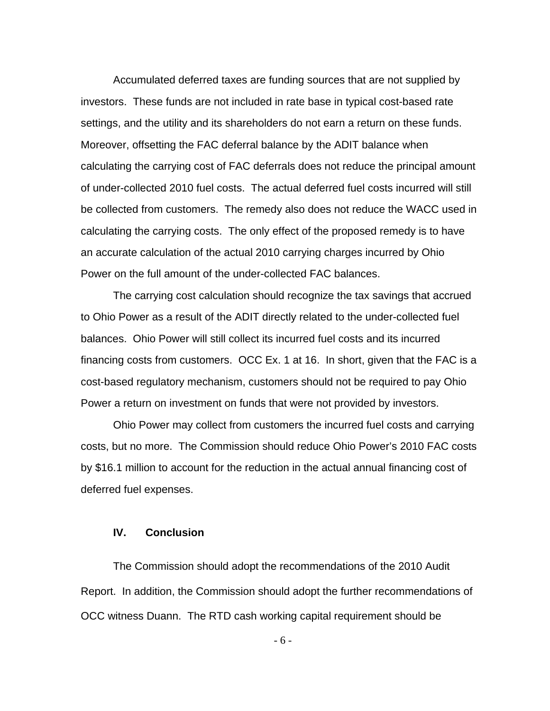Accumulated deferred taxes are funding sources that are not supplied by investors. These funds are not included in rate base in typical cost-based rate settings, and the utility and its shareholders do not earn a return on these funds. Moreover, offsetting the FAC deferral balance by the ADIT balance when calculating the carrying cost of FAC deferrals does not reduce the principal amount of under-collected 2010 fuel costs. The actual deferred fuel costs incurred will still be collected from customers. The remedy also does not reduce the WACC used in calculating the carrying costs. The only effect of the proposed remedy is to have an accurate calculation of the actual 2010 carrying charges incurred by Ohio Power on the full amount of the under-collected FAC balances.

The carrying cost calculation should recognize the tax savings that accrued to Ohio Power as a result of the ADIT directly related to the under-collected fuel balances. Ohio Power will still collect its incurred fuel costs and its incurred financing costs from customers. OCC Ex. 1 at 16. In short, given that the FAC is a cost-based regulatory mechanism, customers should not be required to pay Ohio Power a return on investment on funds that were not provided by investors.

Ohio Power may collect from customers the incurred fuel costs and carrying costs, but no more. The Commission should reduce Ohio Power's 2010 FAC costs by \$16.1 million to account for the reduction in the actual annual financing cost of deferred fuel expenses.

#### **IV. Conclusion**

The Commission should adopt the recommendations of the 2010 Audit Report. In addition, the Commission should adopt the further recommendations of OCC witness Duann. The RTD cash working capital requirement should be

- 6 -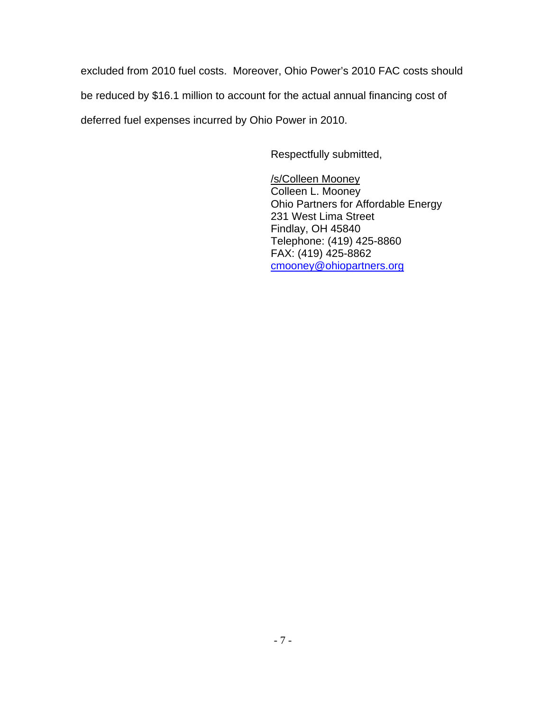excluded from 2010 fuel costs. Moreover, Ohio Power's 2010 FAC costs should be reduced by \$16.1 million to account for the actual annual financing cost of deferred fuel expenses incurred by Ohio Power in 2010.

Respectfully submitted,

/s/Colleen Mooney Colleen L. Mooney Ohio Partners for Affordable Energy 231 West Lima Street Findlay, OH 45840 Telephone: (419) 425-8860 FAX: (419) 425-8862 [cmooney@ohiopartners.org](mailto:cmooney@ohiopartners.org)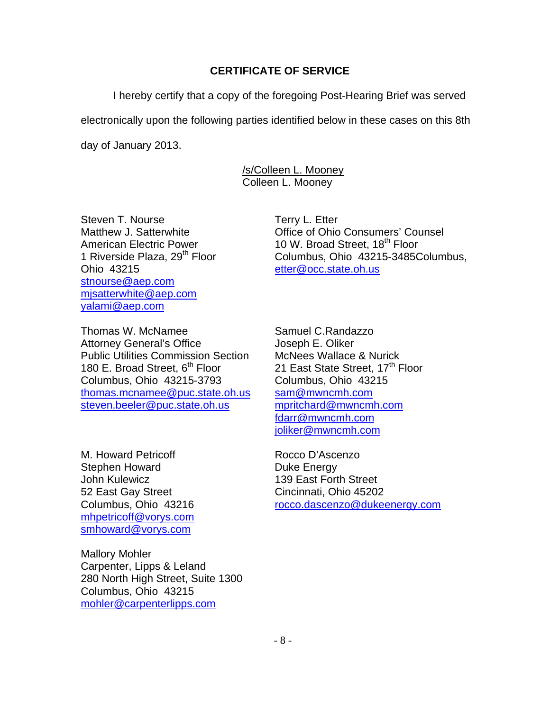## **CERTIFICATE OF SERVICE**

I hereby certify that a copy of the foregoing Post-Hearing Brief was served

electronically upon the following parties identified below in these cases on this 8th

day of January 2013.

 /s/Colleen L. Mooney Colleen L. Mooney

Steven T. Nourse Terry L. Etter Ohio 43215 [etter@occ.state.oh.us](mailto:etter@occ.state.oh.us) [stnourse@aep.com](mailto:stnourse@aep.com) [mjsatterwhite@aep.com](mailto:mjsatterwhite@aep.com) [yalami@aep.com](mailto:yalami@aep.com)

Thomas W. McNamee Samuel C.Randazzo Attorney General's Office **State Search State Search E. Oliker** Public Utilities Commission Section McNees Wallace & Nurick<br>180 E. Broad Street. 6<sup>th</sup> Floor 21 East State Street. 17<sup>th</sup> F Columbus, Ohio 43215-3793 Columbus, Ohio 43215 [thomas.mcnamee@puc.state.oh.us](mailto:thomas.mcnamee@puc.state.oh.us) [sam@mwncmh.com](mailto:sam@mwncmh.com) [steven.beeler@puc.state.oh.us](mailto:steven.beeler@puc.state.oh.us) [mpritchard@mwncmh.com](mailto:mpritchard@mwncmh.com)

M. Howard Petricoff **Rocco D'Ascenzo** Stephen Howard **Duke Energy** John Kulewicz 139 East Forth Street 52 East Gay Street Cincinnati, Ohio 45202 [mhpetricoff@vorys.com](mailto:mhpetricoff@vorys.com) [smhoward@vorys.com](mailto:smhoward@vorys.com)

Mallory Mohler Carpenter, Lipps & Leland 280 North High Street, Suite 1300 Columbus, Ohio 43215 [mohler@carpenterlipps.com](mailto:mohler@carpenterlipps.com)

Matthew J. Satterwhite **Consumers** Counsel American Electric Power 10 W. Broad Street, 18<sup>th</sup> Floor<br>1 Riverside Plaza, 29<sup>th</sup> Floor Columbus, Ohio 43215-34850 Columbus, Ohio 43215-3485Columbus,

> 21 East State Street, 17<sup>th</sup> Floor [fdarr@mwncmh.com](mailto:fdarr@mwncmh.com) [joliker@mwncmh.com](mailto:joliker@mwncmh.com)

Columbus, Ohio 43216 [rocco.dascenzo@dukeenergy.com](mailto:rocco.dascenzo@dukeenergy.com)